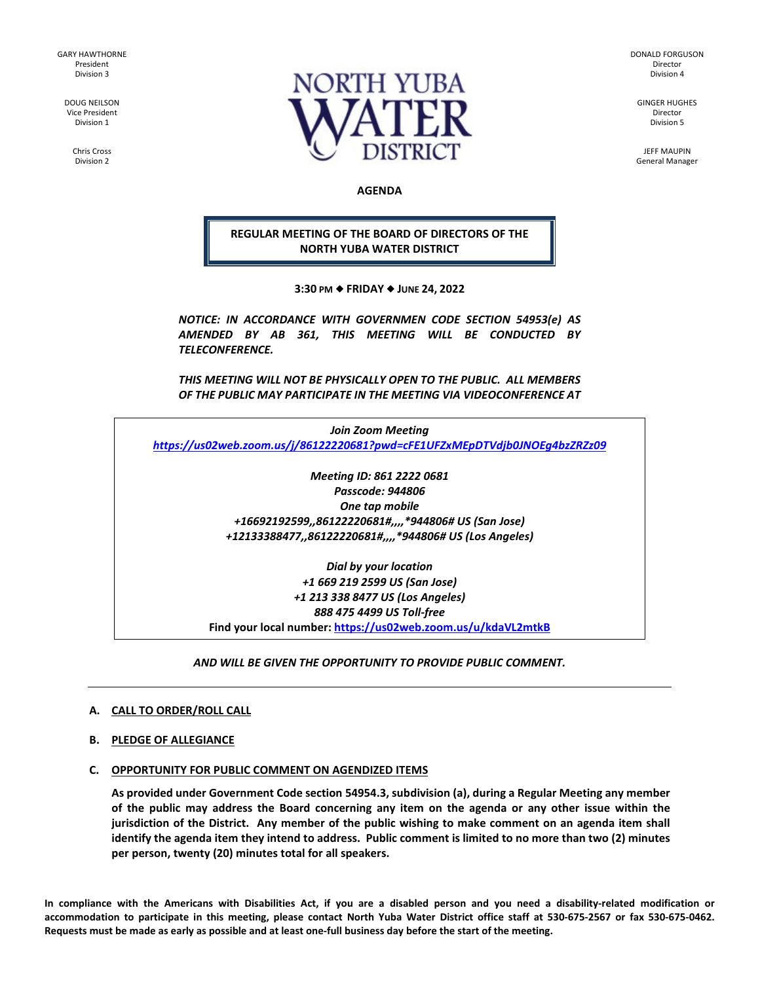GARY HAWTHORNE President Division 3

> DOUG NEILSON Vice President Division 1

> > Chris Cross Division 2



DONALD FORGUSON Director Division 4

GINGER HUGHES Director Division 5

JEFF MAUPIN General Manager

**AGENDA**

# **REGULAR MEETING OF THE BOARD OF DIRECTORS OF THE NORTH YUBA WATER DISTRICT**

**3:30 PM FRIDAY JUNE 24, 2022**

*NOTICE: IN ACCORDANCE WITH GOVERNMEN CODE SECTION 54953(e) AS AMENDED BY AB 361, THIS MEETING WILL BE CONDUCTED BY TELECONFERENCE.* 

*THIS MEETING WILL NOT BE PHYSICALLY OPEN TO THE PUBLIC. ALL MEMBERS OF THE PUBLIC MAY PARTICIPATE IN THE MEETING VIA VIDEOCONFERENCE AT* 

*Join Zoom Meeting <https://us02web.zoom.us/j/86122220681?pwd=cFE1UFZxMEpDTVdjb0JNOEg4bzZRZz09>*

> *Meeting ID: 861 2222 0681 Passcode: 944806 One tap mobile +16692192599,,86122220681#,,,,\*944806# US (San Jose) +12133388477,,86122220681#,,,,\*944806# US (Los Angeles)*

*Dial by your location +1 669 219 2599 US (San Jose) +1 213 338 8477 US (Los Angeles) 888 475 4499 US Toll-free* **Find your local number[: https://us02web.zoom.us/u/kdaVL2mtkB](https://us02web.zoom.us/u/kdaVL2mtkB)**

*AND WILL BE GIVEN THE OPPORTUNITY TO PROVIDE PUBLIC COMMENT.* 

# **A. CALL TO ORDER/ROLL CALL**

**B. PLEDGE OF ALLEGIANCE** 

## **C. OPPORTUNITY FOR PUBLIC COMMENT ON AGENDIZED ITEMS**

**As provided under Government Code section 54954.3, subdivision (a), during a Regular Meeting any member of the public may address the Board concerning any item on the agenda or any other issue within the jurisdiction of the District. Any member of the public wishing to make comment on an agenda item shall identify the agenda item they intend to address. Public comment is limited to no more than two (2) minutes per person, twenty (20) minutes total for all speakers.** 

**In compliance with the Americans with Disabilities Act, if you are a disabled person and you need a disability-related modification or accommodation to participate in this meeting, please contact North Yuba Water District office staff at 530-675-2567 or fax 530-675-0462. Requests must be made as early as possible and at least one-full business day before the start of the meeting.**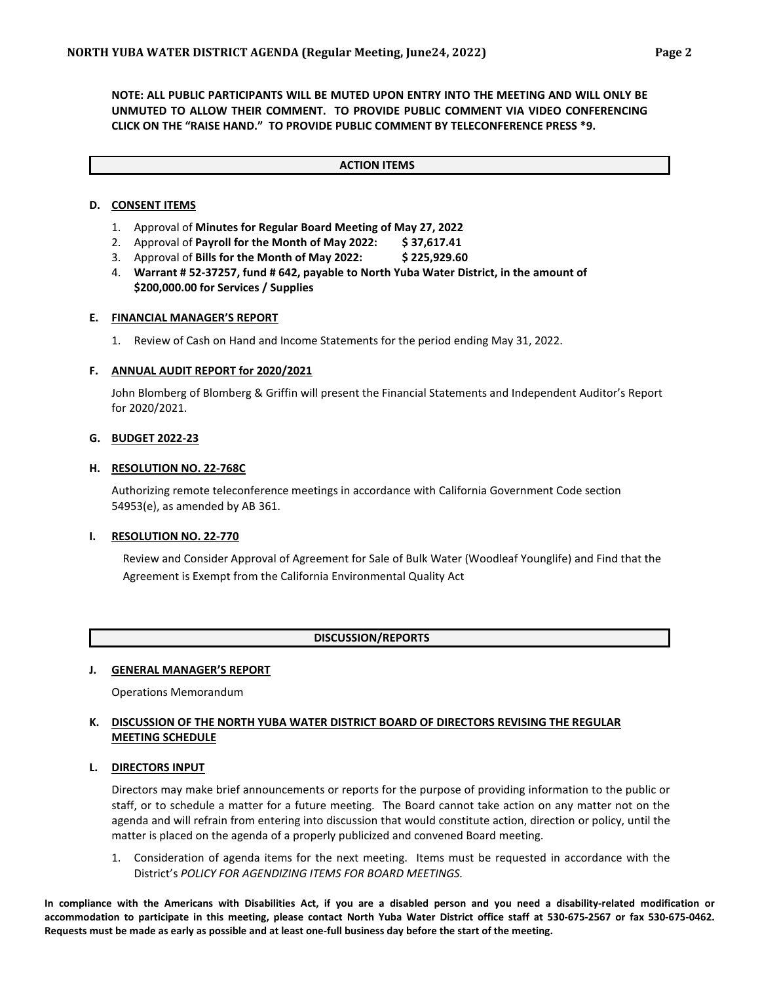**NOTE: ALL PUBLIC PARTICIPANTS WILL BE MUTED UPON ENTRY INTO THE MEETING AND WILL ONLY BE UNMUTED TO ALLOW THEIR COMMENT. TO PROVIDE PUBLIC COMMENT VIA VIDEO CONFERENCING CLICK ON THE "RAISE HAND." TO PROVIDE PUBLIC COMMENT BY TELECONFERENCE PRESS \*9.**

#### **ACTION ITEMS**

## **D. CONSENT ITEMS**

- 1. Approval of **Minutes for Regular Board Meeting of May 27, 2022**
- 2. Approval of **Payroll for the Month of May 2022: \$ 37,617.41**
- 3. Approval of **Bills for the Month of May 2022: \$ 225,929.60**
- 4. **Warrant # 52-37257, fund # 642, payable to North Yuba Water District, in the amount of \$200,000.00 for Services / Supplies**

#### **E. FINANCIAL MANAGER'S REPORT**

1. Review of Cash on Hand and Income Statements for the period ending May 31, 2022.

#### **F. ANNUAL AUDIT REPORT for 2020/2021**

John Blomberg of Blomberg & Griffin will present the Financial Statements and Independent Auditor's Report for 2020/2021.

### **G. BUDGET 2022-23**

#### **H. RESOLUTION NO. 22-768C**

Authorizing remote teleconference meetings in accordance with California Government Code section 54953(e), as amended by AB 361.

#### **I. RESOLUTION NO. 22-770**

Review and Consider Approval of Agreement for Sale of Bulk Water (Woodleaf Younglife) and Find that the Agreement is Exempt from the California Environmental Quality Act

#### **DISCUSSION/REPORTS**

#### **J. GENERAL MANAGER'S REPORT**

Operations Memorandum

## **K. DISCUSSION OF THE NORTH YUBA WATER DISTRICT BOARD OF DIRECTORS REVISING THE REGULAR MEETING SCHEDULE**

### **L. DIRECTORS INPUT**

Directors may make brief announcements or reports for the purpose of providing information to the public or staff, or to schedule a matter for a future meeting. The Board cannot take action on any matter not on the agenda and will refrain from entering into discussion that would constitute action, direction or policy, until the matter is placed on the agenda of a properly publicized and convened Board meeting.

1. Consideration of agenda items for the next meeting. Items must be requested in accordance with the District's *POLICY FOR AGENDIZING ITEMS FOR BOARD MEETINGS.*

**In compliance with the Americans with Disabilities Act, if you are a disabled person and you need a disability-related modification or accommodation to participate in this meeting, please contact North Yuba Water District office staff at 530-675-2567 or fax 530-675-0462. Requests must be made as early as possible and at least one-full business day before the start of the meeting.**